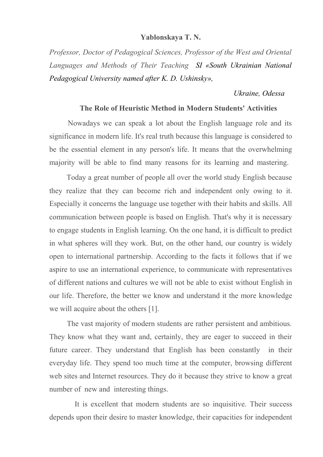## **Yablonskaya T. N.**

*Professor, Doctor of Pedagogical Sciences, Professor of the West and Oriental Languages and Methods of Their Teaching SI «South Ukrainian National Pedagogical University named after K. D. Ushinsky»,* 

## *Ukraine, Odessa*

## **The Role of Heuristic Method in Modern Students' Activities**

 Nowadays we can speak a lot about the English language role and its significance in modern life. It's real truth because this language is considered to be the essential element in any person's life. It means that the overwhelming majority will be able to find many reasons for its learning and mastering.

 Today a great number of people all over the world study English because they realize that they can become rich and independent only owing to it. Especially it concerns the language use together with their habits and skills. All communication between people is based on English. That's why it is necessary to engage students in English learning. On the one hand, it is difficult to predict in what spheres will they work. But, on the other hand, our country is widely open to international partnership. According to the facts it follows that if we aspire to use an international experience, to communicate with representatives of different nations and cultures we will not be able to exist without English in our life. Therefore, the better we know and understand it the more knowledge we will acquire about the others [1].

 The vast majority of modern students are rather persistent and ambitious. They know what they want and, certainly, they are eager to succeed in their future career. They understand that English has been constantly in their everyday life. They spend too much time at the computer, browsing different web sites and Internet resources. They do it because they strive to know a great number of new and interesting things.

 It is excellent that modern students are so inquisitive. Their success depends upon their desire to master knowledge, their capacities for independent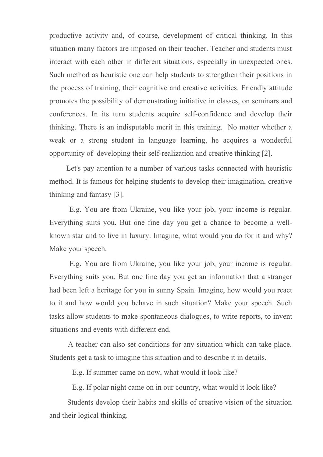productive activity and, of course, development of critical thinking. In this situation many factors are imposed on their teacher. Teacher and students must interact with each other in different situations, especially in unexpected ones. Such method as heuristic one can help students to strengthen their positions in the process of training, their cognitive and creative activities. Friendly attitude promotes the possibility of demonstrating initiative in classes, on seminars and conferences. In its turn students acquire self-confidence and develop their thinking. There is an indisputable merit in this training. No matter whether a weak or a strong student in language learning, he acquires a wonderful opportunity of developing their self-realization and creative thinking [2].

 Let's pay attention to a number of various tasks connected with heuristic method. It is famous for helping students to develop their imagination, creative thinking and fantasy [3].

 E.g. You are from Ukraine, you like your job, your income is regular. Everything suits you. But one fine day you get a chance to become a wellknown star and to live in luxury. Imagine, what would you do for it and why? Make your speech.

 E.g. You are from Ukraine, you like your job, your income is regular. Everything suits you. But one fine day you get an information that a stranger had been left a heritage for you in sunny Spain. Imagine, how would you react to it and how would you behave in such situation? Make your speech. Such tasks allow students to make spontaneous dialogues, to write reports, to invent situations and events with different end.

 A teacher can also set conditions for any situation which can take place. Students get a task to imagine this situation and to describe it in details.

E.g. If summer came on now, what would it look like?

E.g. If polar night came on in our country, what would it look like?

 Students develop their habits and skills of creative vision of the situation and their logical thinking.